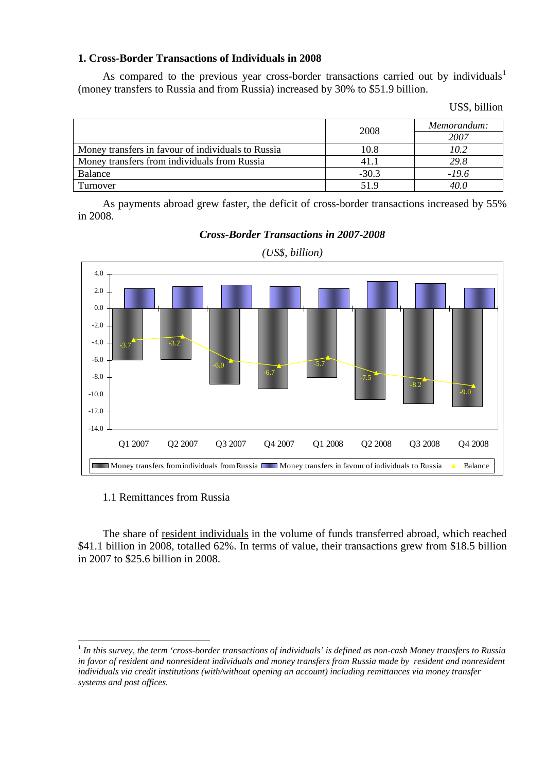## **1. Cross-Border Transactions of Individuals in 2008**

As compared to the previous year cross-border transactions carried out by individuals<sup>[1](#page-0-0)</sup> (money transfers to Russia and from Russia) increased by 30% to \$51.9 billion.

|                                                    | 2008    | Memorandum:<br>2007 |  |
|----------------------------------------------------|---------|---------------------|--|
| Money transfers in favour of individuals to Russia | 10.8    | 10.2                |  |
| Money transfers from individuals from Russia       | 41.1    | 29.8                |  |
| Balance                                            | $-30.3$ | $-19.6$             |  |
| Turnover                                           | 51.9    | 40.0                |  |

As payments abroad grew faster, the deficit of cross-border transactions increased by 55% in 2008.



*Cross-Border Transactions in 2007-2008* 

# *(US\$, billion)*

## 1.1 Remittances from Russia

1

The share of resident individuals in the volume of funds transferred abroad, which reached \$41.1 billion in 2008, totalled 62%. In terms of value, their transactions grew from \$18.5 billion in 2007 to \$25.6 billion in 2008.

<span id="page-0-0"></span><sup>1</sup> *In this survey, the term 'cross-border transactions of individuals' is defined as non-cash Money transfers to Russia*  in favor of resident and nonresident individuals and money transfers from Russia made by resident and nonresident *individuals via credit institutions (with/without opening an account) including remittances via money transfer systems and post offices.*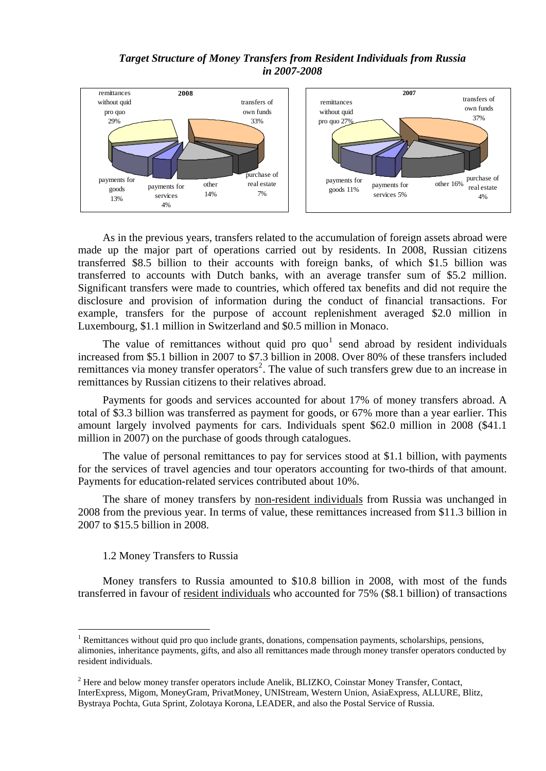## *Target Structure of Money Transfers from Resident Individuals from Russia in 2007-2008*





As in the previous years, transfers related to the accumulation of foreign assets abroad were made up the major part of operations carried out by residents. In 2008, Russian citizens transferred \$8.5 billion to their accounts with foreign banks, of which \$1.5 billion was transferred to accounts with Dutch banks, with an average transfer sum of \$5.2 million. Significant transfers were made to countries, which offered tax benefits and did not require the disclosure and provision of information during the conduct of financial transactions. For example, transfers for the purpose of account replenishment averaged \$2.0 million in Luxembourg, \$1.1 million in Switzerland and \$0.5 million in Monaco.

The value of remittances without quid pro  $\{0\}$  send abroad by resident individuals increased from \$5.1 billion in 2007 to \$7.3 billion in 2008. Over 80% of these transfers included remittances via money transfer operators<sup>[2](#page-1-1)</sup>. The value of such transfers grew due to an increase in remittances by Russian citizens to their relatives abroad.

Payments for goods and services accounted for about 17% of money transfers abroad. A total of \$3.3 billion was transferred as payment for goods, or 67% more than a year earlier. This amount largely involved payments for cars. Individuals spent \$62.0 million in 2008 (\$41.1 million in 2007) on the purchase of goods through catalogues.

The value of personal remittances to pay for services stood at \$1.1 billion, with payments for the services of travel agencies and tour operators accounting for two-thirds of that amount. Payments for education-related services contributed about 10%.

The share of money transfers by non-resident individuals from Russia was unchanged in 2008 from the previous year. In terms of value, these remittances increased from \$11.3 billion in 2007 to \$15.5 billion in 2008.

## 1.2 Money Transfers to Russia

1

Money transfers to Russia amounted to \$10.8 billion in 2008, with most of the funds transferred in favour of resident individuals who accounted for 75% (\$8.1 billion) of transactions

<span id="page-1-0"></span><sup>&</sup>lt;sup>1</sup> Remittances without quid pro quo include grants, donations, compensation payments, scholarships, pensions, alimonies, inheritance payments, gifts, and also all remittances made through money transfer operators conducted by resident individuals.

<span id="page-1-1"></span> $2$  Here and below money transfer operators include Anelik, BLIZKO, Coinstar Money Transfer, Contact, InterExpress, Migom, MoneyGram, PrivatMoney, UNIStream, Western Union, AsiaExpress, ALLURE, Blitz, Bystraya Pochta, Guta Sprint, Zolotaya Korona, LEADER, and also the Postal Service of Russia.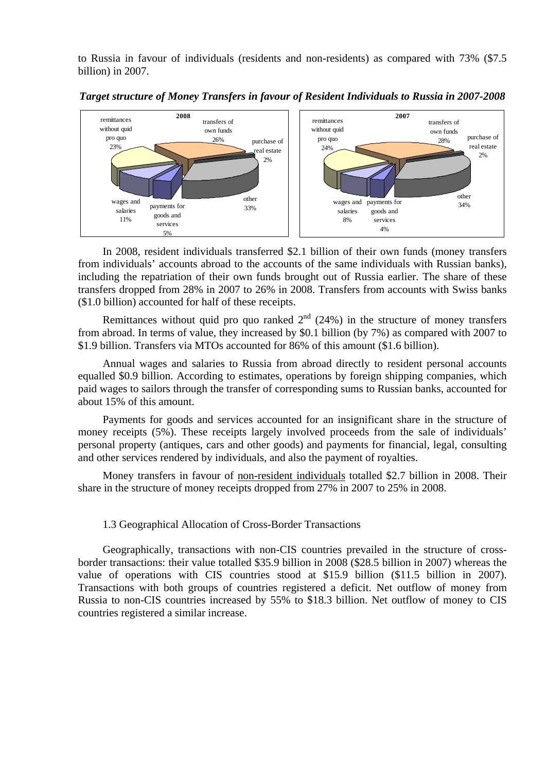to Russia in favour of individuals (residents and non-residents) as compared with 73% (\$7.5 billion) in 2007.



*Target structure of Money Transfers in favour of Resident Individuals to Russia in 2007-2008* 

In 2008, resident individuals transferred \$2.1 billion of their own funds (money transfers from individuals' accounts abroad to the accounts of the same individuals with Russian banks), including the repatriation of their own funds brought out of Russia earlier. The share of these transfers dropped from 28% in 2007 to 26% in 2008. Transfers from accounts with Swiss banks (\$1.0 billion) accounted for half of these receipts.

Remittances without quid pro quo ranked  $2<sup>nd</sup>$  (24%) in the structure of money transfers from abroad. In terms of value, they increased by \$0.1 billion (by 7%) as compared with 2007 to \$1.9 billion. Transfers via MTOs accounted for 86% of this amount (\$1.6 billion).

Annual wages and salaries to Russia from abroad directly to resident personal accounts equalled \$0.9 billion. According to estimates, operations by foreign shipping companies, which paid wages to sailors through the transfer of corresponding sums to Russian banks, accounted for about 15% of this amount.

Payments for goods and services accounted for an insignificant share in the structure of money receipts (5%). These receipts largely involved proceeds from the sale of individuals' personal property (antiques, cars and other goods) and payments for financial, legal, consulting and other services rendered by individuals, and also the payment of royalties.

Money transfers in favour of non-resident individuals totalled \$2.7 billion in 2008. Their share in the structure of money receipts dropped from 27% in 2007 to 25% in 2008.

### 1.3 Geographical Allocation of Cross-Border Transactions

Geographically, transactions with non-CIS countries prevailed in the structure of crossborder transactions: their value totalled \$35.9 billion in 2008 (\$28.5 billion in 2007) whereas the value of operations with CIS countries stood at \$15.9 billion (\$11.5 billion in 2007). Transactions with both groups of countries registered a deficit. Net outflow of money from Russia to non-CIS countries increased by 55% to \$18.3 billion. Net outflow of money to CIS countries registered a similar increase.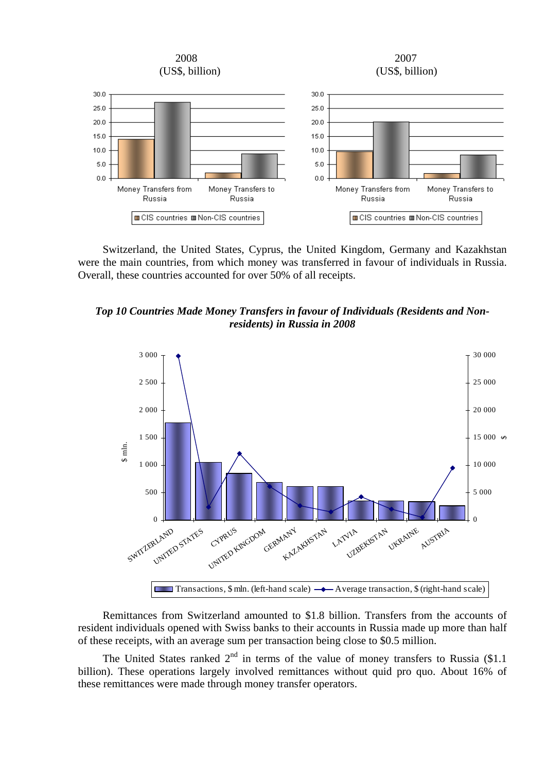

Switzerland, the United States, Cyprus, the United Kingdom, Germany and Kazakhstan were the main countries, from which money was transferred in favour of individuals in Russia. Overall, these countries accounted for over 50% of all receipts.

*Top 10 Countries Made Money Transfers in favour of Individuals (Residents and Nonresidents) in Russia in 2008* 



Remittances from Switzerland amounted to \$1.8 billion. Transfers from the accounts of resident individuals opened with Swiss banks to their accounts in Russia made up more than half of these receipts, with an average sum per transaction being close to \$0.5 million.

The United States ranked  $2<sup>nd</sup>$  in terms of the value of money transfers to Russia (\$1.1) billion). These operations largely involved remittances without quid pro quo. About 16% of these remittances were made through money transfer operators.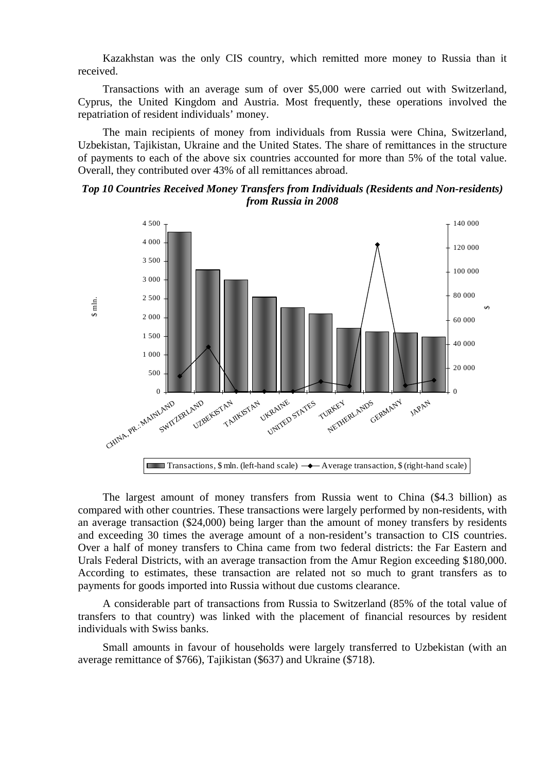Kazakhstan was the only CIS country, which remitted more money to Russia than it received.

Transactions with an average sum of over \$5,000 were carried out with Switzerland, Cyprus, the United Kingdom and Austria. Most frequently, these operations involved the repatriation of resident individuals' money.

The main recipients of money from individuals from Russia were China, Switzerland, Uzbekistan, Tajikistan, Ukraine and the United States. The share of remittances in the structure of payments to each of the above six countries accounted for more than 5% of the total value. Overall, they contributed over 43% of all remittances abroad.

# *Top 10 Countries Received Money Transfers from Individuals (Residents and Non-residents) from Russia in 2008*



The largest amount of money transfers from Russia went to China (\$4.3 billion) as compared with other countries. These transactions were largely performed by non-residents, with an average transaction (\$24,000) being larger than the amount of money transfers by residents and exceeding 30 times the average amount of a non-resident's transaction to CIS countries. Over a half of money transfers to China came from two federal districts: the Far Eastern and Urals Federal Districts, with an average transaction from the Amur Region exceeding \$180,000. According to estimates, these transaction are related not so much to grant transfers as to payments for goods imported into Russia without due customs clearance.

A considerable part of transactions from Russia to Switzerland (85% of the total value of transfers to that country) was linked with the placement of financial resources by resident individuals with Swiss banks.

Small amounts in favour of households were largely transferred to Uzbekistan (with an average remittance of \$766), Tajikistan (\$637) and Ukraine (\$718).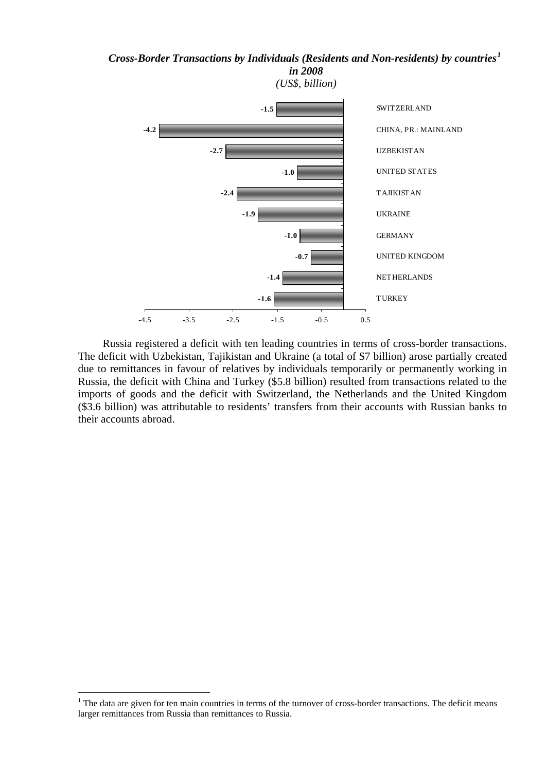# *Cross-Border Transactions by Individuals (Residents and Non-residents) by countries[1](#page-5-0)*



Russia registered a deficit with ten leading countries in terms of cross-border transactions. The deficit with Uzbekistan, Tajikistan and Ukraine (a total of \$7 billion) arose partially created due to remittances in favour of relatives by individuals temporarily or permanently working in Russia, the deficit with China and Turkey (\$5.8 billion) resulted from transactions related to the imports of goods and the deficit with Switzerland, the Netherlands and the United Kingdom (\$3.6 billion) was attributable to residents' transfers from their accounts with Russian banks to their accounts abroad.

1

<span id="page-5-0"></span> $<sup>1</sup>$  The data are given for ten main countries in terms of the turnover of cross-border transactions. The deficit means</sup> larger remittances from Russia than remittances to Russia.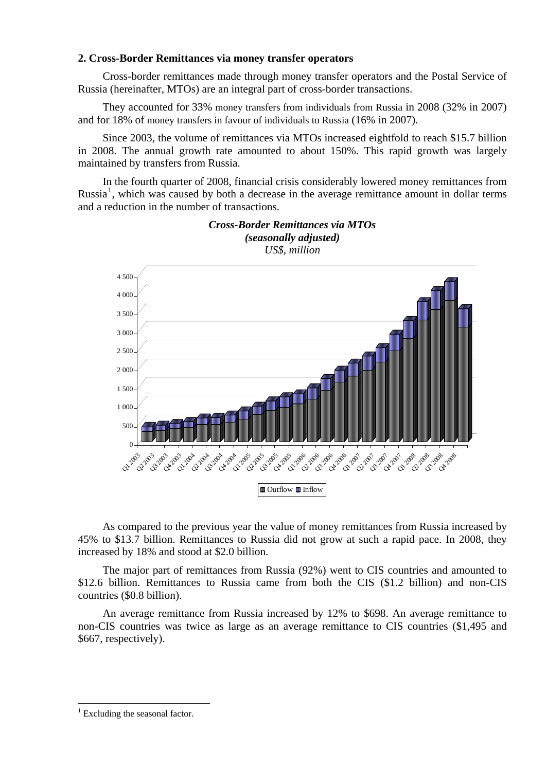### **2. Cross-Border Remittances via money transfer operators**

Cross-border remittances made through money transfer operators and the Postal Service of Russia (hereinafter, MTOs) are an integral part of cross-border transactions.

They accounted for 33% money transfers from individuals from Russia in 2008 (32% in 2007) and for 18% of money transfers in favour of individuals to Russia (16% in 2007).

Since 2003, the volume of remittances via MTOs increased eightfold to reach \$15.7 billion in 2008. The annual growth rate amounted to about 150%. This rapid growth was largely maintained by transfers from Russia.

In the fourth quarter of 2008, financial crisis considerably lowered money remittances from Russia<sup>[1](#page-6-0)</sup>, which was caused by both a decrease in the average remittance amount in dollar terms and a reduction in the number of transactions.



*(seasonally adjusted) US\$, million* 

*Cross-Border Remittances via MTOs* 

As compared to the previous year the value of money remittances from Russia increased by 45% to \$13.7 billion. Remittances to Russia did not grow at such a rapid pace. In 2008, they increased by 18% and stood at \$2.0 billion.

The major part of remittances from Russia (92%) went to CIS countries and amounted to \$12.6 billion. Remittances to Russia came from both the CIS (\$1.2 billion) and non-CIS countries (\$0.8 billion).

An average remittance from Russia increased by 12% to \$698. An average remittance to non-CIS countries was twice as large as an average remittance to CIS countries (\$1,495 and \$667, respectively).

1

<span id="page-6-0"></span><sup>&</sup>lt;sup>1</sup> Excluding the seasonal factor.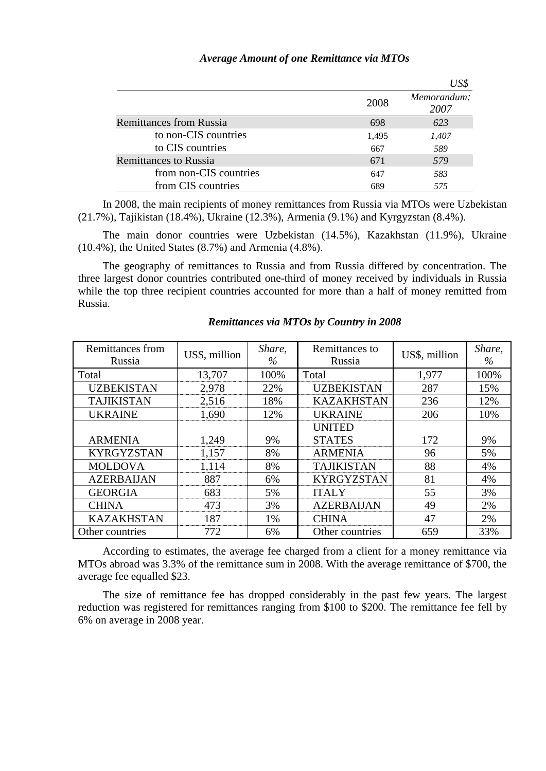|                                | 2008  | Memorandum:<br>2007 |
|--------------------------------|-------|---------------------|
| <b>Remittances from Russia</b> | 698   | 623                 |
| to non-CIS countries           | 1,495 | 1,407               |
| to CIS countries               | 667   | 589                 |
| <b>Remittances to Russia</b>   | 671   | 579                 |
| from non-CIS countries         | 647   | 583                 |
| from CIS countries             | 689   | 575                 |

## *Average Amount of one Remittance via MTOs*

In 2008, the main recipients of money remittances from Russia via MTOs were Uzbekistan (21.7%), Tajikistan (18.4%), Ukraine (12.3%), Armenia (9.1%) and Kyrgyzstan (8.4%).

The main donor countries were Uzbekistan (14.5%), Kazakhstan (11.9%), Ukraine (10.4%), the United States (8.7%) and Armenia (4.8%).

The geography of remittances to Russia and from Russia differed by concentration. The three largest donor countries contributed one-third of money received by individuals in Russia while the top three recipient countries accounted for more than a half of money remitted from Russia.

| Remittances from<br>Russia | US\$, million | Share,<br>$\%$ | Remittances to<br>Russia | US\$, million | Share,<br>$\%$ |
|----------------------------|---------------|----------------|--------------------------|---------------|----------------|
| Total                      | 13,707        | 100%           | Total                    | 1,977         | 100%           |
| <b>UZBEKISTAN</b>          | 2,978         | 22%            | <b>UZBEKISTAN</b>        | 287           | 15%            |
| <b>TAJIKISTAN</b>          | 2,516         | 18%            | <b>KAZAKHSTAN</b>        | 236           | 12%            |
| <b>UKRAINE</b>             | 1,690         | 12%            | <b>UKRAINE</b>           | 206           | 10%            |
|                            |               |                | <b>UNITED</b>            |               |                |
| <b>ARMENIA</b>             | 1,249         | 9%             | <b>STATES</b>            | 172           | 9%             |
| <b>KYRGYZSTAN</b>          | 1,157         | 8%             | <b>ARMENIA</b>           | 96            | 5%             |
| <b>MOLDOVA</b>             | 1,114         | 8%             | <b>TAJIKISTAN</b>        | 88            | 4%             |
| <b>AZERBAIJAN</b>          | 887           | 6%             | <b>KYRGYZSTAN</b>        | 81            | 4%             |
| <b>GEORGIA</b>             | 683           | 5%             | <b>ITALY</b>             | 55            | 3%             |
| <b>CHINA</b>               | 473           | 3%             | <b>AZERBAIJAN</b>        | 49            | 2%             |
| <b>KAZAKHSTAN</b>          | 187           | 1%             | <b>CHINA</b>             | 47            | 2%             |
| Other countries            | 772           | 6%             | Other countries          | 659           | 33%            |

### *Remittances via MTOs by Country in 2008*

According to estimates, the average fee charged from a client for a money remittance via MTOs abroad was 3.3% of the remittance sum in 2008. With the average remittance of \$700, the average fee equalled \$23.

The size of remittance fee has dropped considerably in the past few years. The largest reduction was registered for remittances ranging from \$100 to \$200. The remittance fee fell by 6% on average in 2008 year.